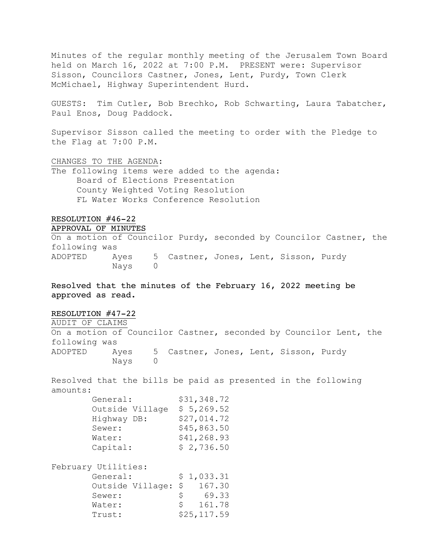Minutes of the regular monthly meeting of the Jerusalem Town Board held on March 16, 2022 at 7:00 P.M. PRESENT were: Supervisor Sisson, Councilors Castner, Jones, Lent, Purdy, Town Clerk McMichael, Highway Superintendent Hurd.

GUESTS: Tim Cutler, Bob Brechko, Rob Schwarting, Laura Tabatcher, Paul Enos, Doug Paddock.

Supervisor Sisson called the meeting to order with the Pledge to the Flag at 7:00 P.M.

CHANGES TO THE AGENDA:

The following items were added to the agenda: Board of Elections Presentation County Weighted Voting Resolution FL Water Works Conference Resolution

## RESOLUTION #46-22 APPROVAL OF MINUTES

On a motion of Councilor Purdy, seconded by Councilor Castner, the following was ADOPTED Ayes 5 Castner, Jones, Lent, Sisson, Purdy Nays 0

Resolved that the minutes of the February 16, 2022 meeting be approved as read.

# RESOLUTION #47-22

AUDIT OF CLAIMS

On a motion of Councilor Castner, seconded by Councilor Lent, the following was ADOPTED Ayes 5 Castner, Jones, Lent, Sisson, Purdy Nays 0

Resolved that the bills be paid as presented in the following amounts:

| General:        | \$31,348.72 |
|-----------------|-------------|
| Outside Village | \$5,269.52  |
| Highway DB:     | \$27,014.72 |
| Sewer:          | \$45,863.50 |
| Water:          | \$41,268.93 |
| Capital:        | \$2,736.50  |

| February Utilities: |    |             |
|---------------------|----|-------------|
| General:            |    | \$1,033.31  |
| Outside Village: \$ |    | 167.30      |
| Sewer:              | S. | 69.33       |
| Water:              | S. | 161.78      |
| Trust:              |    | \$25,117.59 |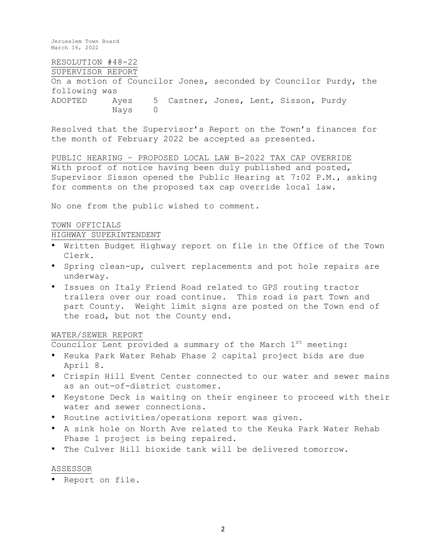# RESOLUTION #48-22

# SUPERVISOR REPORT

On a motion of Councilor Jones, seconded by Councilor Purdy, the following was ADOPTED Ayes 5 Castner, Jones, Lent, Sisson, Purdy Nays 0

Resolved that the Supervisor's Report on the Town's finances for the month of February 2022 be accepted as presented.

PUBLIC HEARING – PROPOSED LOCAL LAW B-2022 TAX CAP OVERRIDE With proof of notice having been duly published and posted, Supervisor Sisson opened the Public Hearing at 7:02 P.M., asking for comments on the proposed tax cap override local law.

No one from the public wished to comment.

## TOWN OFFICIALS

# HIGHWAY SUPERINTENDENT

- Written Budget Highway report on file in the Office of the Town Clerk.
- Spring clean-up, culvert replacements and pot hole repairs are underway.
- Issues on Italy Friend Road related to GPS routing tractor trailers over our road continue. This road is part Town and part County. Weight limit signs are posted on the Town end of the road, but not the County end.

## WATER/SEWER REPORT

Councilor Lent provided a summary of the March  $1^{st}$  meeting:

- Keuka Park Water Rehab Phase 2 capital project bids are due April 8.
- Crispin Hill Event Center connected to our water and sewer mains as an out-of-district customer.
- Keystone Deck is waiting on their engineer to proceed with their water and sewer connections.
- Routine activities/operations report was given.
- A sink hole on North Ave related to the Keuka Park Water Rehab Phase 1 project is being repaired.
- The Culver Hill bioxide tank will be delivered tomorrow.

#### ASSESSOR

• Report on file.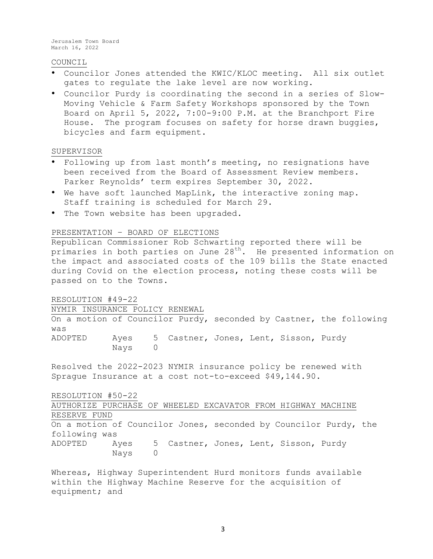## COUNCIL

- Councilor Jones attended the KWIC/KLOC meeting. All six outlet gates to regulate the lake level are now working.
- Councilor Purdy is coordinating the second in a series of Slow-Moving Vehicle & Farm Safety Workshops sponsored by the Town Board on April 5, 2022, 7:00-9:00 P.M. at the Branchport Fire House. The program focuses on safety for horse drawn buggies, bicycles and farm equipment.

### SUPERVISOR

- Following up from last month's meeting, no resignations have been received from the Board of Assessment Review members. Parker Reynolds' term expires September 30, 2022.
- We have soft launched MapLink, the interactive zoning map. Staff training is scheduled for March 29.
- The Town website has been upgraded.

### PRESENTATION – BOARD OF ELECTIONS

Republican Commissioner Rob Schwarting reported there will be primaries in both parties on June  $28<sup>th</sup>$ . He presented information on the impact and associated costs of the 109 bills the State enacted during Covid on the election process, noting these costs will be passed on to the Towns.

#### RESOLUTION #49-22

NYMIR INSURANCE POLICY RENEWAL

On a motion of Councilor Purdy, seconded by Castner, the following was ADOPTED Ayes 5 Castner, Jones, Lent, Sisson, Purdy Nays 0

Resolved the 2022-2023 NYMIR insurance policy be renewed with Sprague Insurance at a cost not-to-exceed \$49,144.90.

RESOLUTION #50-22

AUTHORIZE PURCHASE OF WHEELED EXCAVATOR FROM HIGHWAY MACHINE RESERVE FUND On a motion of Councilor Jones, seconded by Councilor Purdy, the following was

ADOPTED Ayes 5 Castner, Jones, Lent, Sisson, Purdy Nays 0

Whereas, Highway Superintendent Hurd monitors funds available within the Highway Machine Reserve for the acquisition of equipment; and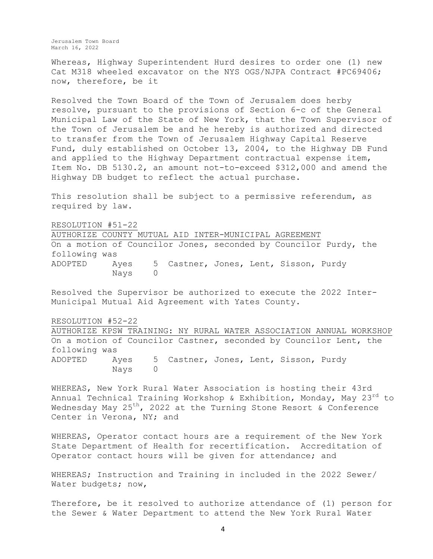Whereas, Highway Superintendent Hurd desires to order one (1) new Cat M318 wheeled excavator on the NYS OGS/NJPA Contract #PC69406; now, therefore, be it

Resolved the Town Board of the Town of Jerusalem does herby resolve, pursuant to the provisions of Section 6-c of the General Municipal Law of the State of New York, that the Town Supervisor of the Town of Jerusalem be and he hereby is authorized and directed to transfer from the Town of Jerusalem Highway Capital Reserve Fund, duly established on October 13, 2004, to the Highway DB Fund and applied to the Highway Department contractual expense item, Item No. DB 5130.2, an amount not-to-exceed \$312,000 and amend the Highway DB budget to reflect the actual purchase.

This resolution shall be subject to a permissive referendum, as required by law.

RESOLUTION #51-22 AUTHORIZE COUNTY MUTUAL AID INTER-MUNICIPAL AGREEMENT On a motion of Councilor Jones, seconded by Councilor Purdy, the following was ADOPTED Ayes 5 Castner, Jones, Lent, Sisson, Purdy Nays 0

Resolved the Supervisor be authorized to execute the 2022 Inter-Municipal Mutual Aid Agreement with Yates County.

RESOLUTION #52-22

AUTHORIZE KPSW TRAINING: NY RURAL WATER ASSOCIATION ANNUAL WORKSHOP On a motion of Councilor Castner, seconded by Councilor Lent, the following was ADOPTED Ayes 5 Castner, Jones, Lent, Sisson, Purdy Nays 0

WHEREAS, New York Rural Water Association is hosting their 43rd Annual Technical Training Workshop & Exhibition, Monday, May 23<sup>rd</sup> to Wednesday May 25<sup>th</sup>, 2022 at the Turning Stone Resort & Conference Center in Verona, NY; and

WHEREAS, Operator contact hours are a requirement of the New York State Department of Health for recertification. Accreditation of Operator contact hours will be given for attendance; and

WHEREAS; Instruction and Training in included in the 2022 Sewer/ Water budgets; now,

Therefore, be it resolved to authorize attendance of (1) person for the Sewer & Water Department to attend the New York Rural Water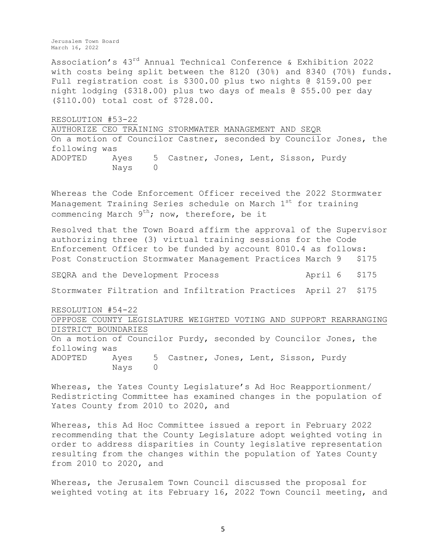Association's 43rd Annual Technical Conference & Exhibition 2022 with costs being split between the 8120 (30%) and 8340 (70%) funds. Full registration cost is \$300.00 plus two nights @ \$159.00 per night lodging (\$318.00) plus two days of meals @ \$55.00 per day (\$110.00) total cost of \$728.00.

RESOLUTION #53-22

AUTHORIZE CEO TRAINING STORMWATER MANAGEMENT AND SEQR On a motion of Councilor Castner, seconded by Councilor Jones, the following was ADOPTED Ayes 5 Castner, Jones, Lent, Sisson, Purdy Nays 0

Whereas the Code Enforcement Officer received the 2022 Stormwater Management Training Series schedule on March  $1<sup>st</sup>$  for training commencing March  $9^{th}$ ; now, therefore, be it

Resolved that the Town Board affirm the approval of the Supervisor authorizing three (3) virtual training sessions for the Code Enforcement Officer to be funded by account 8010.4 as follows: Post Construction Stormwater Management Practices March 9 \$175

SEQRA and the Development Process ... April 6 \$175

Stormwater Filtration and Infiltration Practices April 27 \$175

RESOLUTION #54-22

OPPPOSE COUNTY LEGISLATURE WEIGHTED VOTING AND SUPPORT REARRANGING DISTRICT BOUNDARIES

On a motion of Councilor Purdy, seconded by Councilor Jones, the following was ADOPTED Ayes 5 Castner, Jones, Lent, Sisson, Purdy Nays 0

Whereas, the Yates County Legislature's Ad Hoc Reapportionment/ Redistricting Committee has examined changes in the population of Yates County from 2010 to 2020, and

Whereas, this Ad Hoc Committee issued a report in February 2022 recommending that the County Legislature adopt weighted voting in order to address disparities in County legislative representation resulting from the changes within the population of Yates County from 2010 to 2020, and

Whereas, the Jerusalem Town Council discussed the proposal for weighted voting at its February 16, 2022 Town Council meeting, and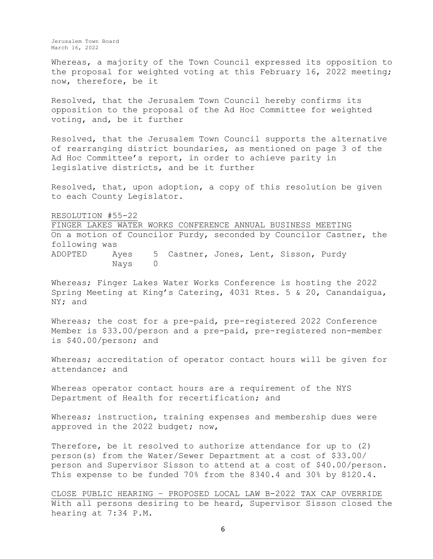Whereas, a majority of the Town Council expressed its opposition to the proposal for weighted voting at this February 16, 2022 meeting; now, therefore, be it

Resolved, that the Jerusalem Town Council hereby confirms its opposition to the proposal of the Ad Hoc Committee for weighted voting, and, be it further

Resolved, that the Jerusalem Town Council supports the alternative of rearranging district boundaries, as mentioned on page 3 of the Ad Hoc Committee's report, in order to achieve parity in legislative districts, and be it further

Resolved, that, upon adoption, a copy of this resolution be given to each County Legislator.

RESOLUTION #55-22

FINGER LAKES WATER WORKS CONFERENCE ANNUAL BUSINESS MEETING On a motion of Councilor Purdy, seconded by Councilor Castner, the following was ADOPTED Ayes 5 Castner, Jones, Lent, Sisson, Purdy Nays 0

Whereas; Finger Lakes Water Works Conference is hosting the 2022 Spring Meeting at King's Catering, 4031 Rtes. 5 & 20, Canandaigua, NY; and

Whereas; the cost for a pre-paid, pre-registered 2022 Conference Member is \$33.00/person and a pre-paid, pre-registered non-member is \$40.00/person; and

Whereas; accreditation of operator contact hours will be given for attendance; and

Whereas operator contact hours are a requirement of the NYS Department of Health for recertification; and

Whereas; instruction, training expenses and membership dues were approved in the 2022 budget; now,

Therefore, be it resolved to authorize attendance for up to (2) person(s) from the Water/Sewer Department at a cost of \$33.00/ person and Supervisor Sisson to attend at a cost of \$40.00/person. This expense to be funded 70% from the 8340.4 and 30% by 8120.4.

CLOSE PUBLIC HEARING – PROPOSED LOCAL LAW B-2022 TAX CAP OVERRIDE With all persons desiring to be heard, Supervisor Sisson closed the hearing at 7:34 P.M.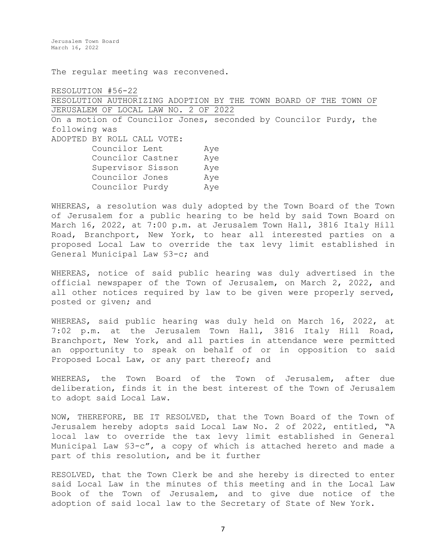The regular meeting was reconvened.

RESOLUTION #56-22 RESOLUTION AUTHORIZING ADOPTION BY THE TOWN BOARD OF THE TOWN OF JERUSALEM OF LOCAL LAW NO. 2 OF 2022 On a motion of Councilor Jones, seconded by Councilor Purdy, the following was ADOPTED BY ROLL CALL VOTE: Councilor Lent Aye Councilor Castner Aye Supervisor Sisson Aye Councilor Jones Aye Councilor Purdy Aye

WHEREAS, a resolution was duly adopted by the Town Board of the Town of Jerusalem for a public hearing to be held by said Town Board on March 16, 2022, at 7:00 p.m. at Jerusalem Town Hall, 3816 Italy Hill Road, Branchport, New York, to hear all interested parties on a proposed Local Law to override the tax levy limit established in General Municipal Law §3-c; and

WHEREAS, notice of said public hearing was duly advertised in the official newspaper of the Town of Jerusalem, on March 2, 2022, and all other notices required by law to be given were properly served, posted or given; and

WHEREAS, said public hearing was duly held on March 16, 2022, at 7:02 p.m. at the Jerusalem Town Hall, 3816 Italy Hill Road, Branchport, New York, and all parties in attendance were permitted an opportunity to speak on behalf of or in opposition to said Proposed Local Law, or any part thereof; and

WHEREAS, the Town Board of the Town of Jerusalem, after due deliberation, finds it in the best interest of the Town of Jerusalem to adopt said Local Law.

NOW, THEREFORE, BE IT RESOLVED, that the Town Board of the Town of Jerusalem hereby adopts said Local Law No. 2 of 2022, entitled, "A local law to override the tax levy limit established in General Municipal Law §3-c", a copy of which is attached hereto and made a part of this resolution, and be it further

RESOLVED, that the Town Clerk be and she hereby is directed to enter said Local Law in the minutes of this meeting and in the Local Law Book of the Town of Jerusalem, and to give due notice of the adoption of said local law to the Secretary of State of New York.

7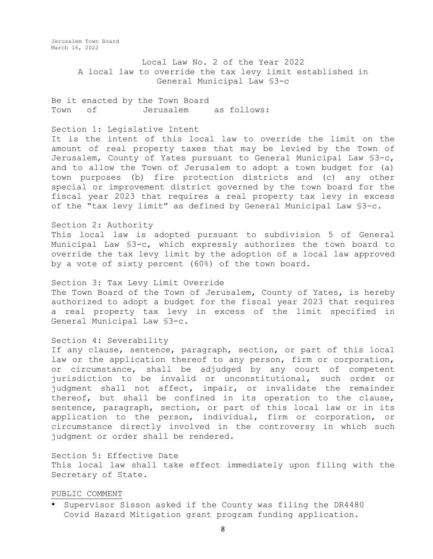> Local Law No. 2 of the Year 2022 A local law to override the tax levy limit established in General Municipal Law §3-c

Be it enacted by the Town Board Town of Jerusalem as follows:

### Section 1: Legislative Intent

It is the intent of this local law to override the limit on the amount of real property taxes that may be levied by the Town of Jerusalem, County of Yates pursuant to General Municipal Law §3-c, and to allow the Town of Jerusalem to adopt a town budget for (a) town purposes (b) fire protection districts and (c) any other special or improvement district governed by the town board for the fiscal year 2023 that requires a real property tax levy in excess of the "tax levy limit" as defined by General Municipal Law §3-c.

### Section 2: Authority

This local law is adopted pursuant to subdivision 5 of General Municipal Law §3-c, which expressly authorizes the town board to override the tax levy limit by the adoption of a local law approved by a vote of sixty percent (60%) of the town board.

Section 3: Tax Levy Limit Override

The Town Board of the Town of Jerusalem, County of Yates, is hereby authorized to adopt a budget for the fiscal year 2023 that requires a real property tax levy in excess of the limit specified in General Municipal Law §3-c.

#### Section 4: Severability

If any clause, sentence, paragraph, section, or part of this local law or the application thereof to any person, firm or corporation, or circumstance, shall be adjudged by any court of competent jurisdiction to be invalid or unconstitutional, such order or judgment shall not affect, impair, or invalidate the remainder thereof, but shall be confined in its operation to the clause, sentence, paragraph, section, or part of this local law or in its application to the person, individual, firm or corporation, or circumstance directly involved in the controversy in which such judgment or order shall be rendered.

Section 5: Effective Date This local law shall take effect immediately upon filing with the Secretary of State.

#### PUBLIC COMMENT

• Supervisor Sisson asked if the County was filing the DR4480 Covid Hazard Mitigation grant program funding application.